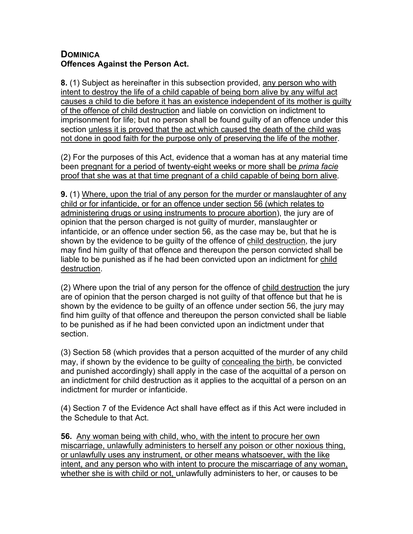## **DOMINICA Offences Against the Person Act.**

**8.** (1) Subject as hereinafter in this subsection provided, any person who with intent to destroy the life of a child capable of being born alive by any wilful act causes a child to die before it has an existence independent of its mother is guilty of the offence of child destruction and liable on conviction on indictment to imprisonment for life; but no person shall be found guilty of an offence under this section unless it is proved that the act which caused the death of the child was not done in good faith for the purpose only of preserving the life of the mother.

(2) For the purposes of this Act, evidence that a woman has at any material time been pregnant for a period of twenty-eight weeks or more shall be *prima facie* proof that she was at that time pregnant of a child capable of being born alive.

**9.** (1) Where, upon the trial of any person for the murder or manslaughter of any child or for infanticide, or for an offence under section 56 (which relates to administering drugs or using instruments to procure abortion), the jury are of opinion that the person charged is not guilty of murder, manslaughter or infanticide, or an offence under section 56, as the case may be, but that he is shown by the evidence to be guilty of the offence of child destruction, the jury may find him guilty of that offence and thereupon the person convicted shall be liable to be punished as if he had been convicted upon an indictment for child destruction.

(2) Where upon the trial of any person for the offence of child destruction the jury are of opinion that the person charged is not guilty of that offence but that he is shown by the evidence to be guilty of an offence under section 56, the jury may find him guilty of that offence and thereupon the person convicted shall be liable to be punished as if he had been convicted upon an indictment under that section.

(3) Section 58 (which provides that a person acquitted of the murder of any child may, if shown by the evidence to be guilty of concealing the birth, be convicted and punished accordingly) shall apply in the case of the acquittal of a person on an indictment for child destruction as it applies to the acquittal of a person on an indictment for murder or infanticide.

(4) Section 7 of the Evidence Act shall have effect as if this Act were included in the Schedule to that Act.

**56.** Any woman being with child, who, with the intent to procure her own miscarriage, unlawfully administers to herself any poison or other noxious thing, or unlawfully uses any instrument, or other means whatsoever, with the like intent, and any person who with intent to procure the miscarriage of any woman, whether she is with child or not, unlawfully administers to her, or causes to be